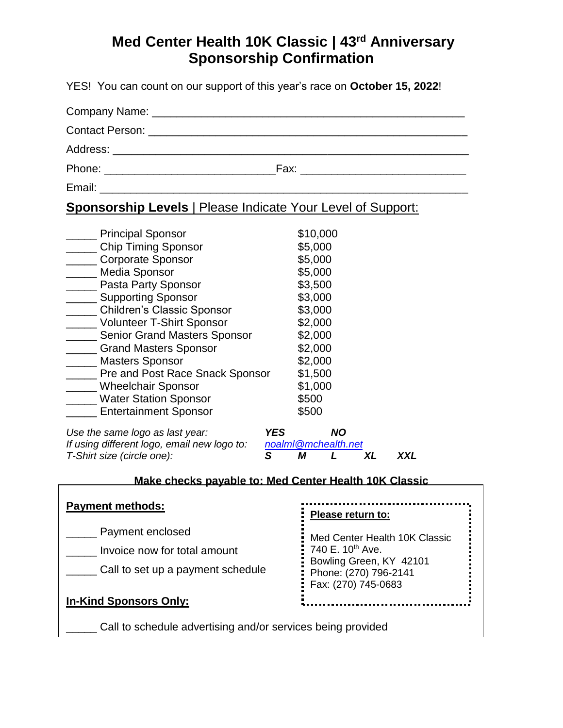YES! You can count on our support of this year's race on **October 15, 2022**!

|                                                                                                                                                                                                                                | Fax: ____________________________ |  |
|--------------------------------------------------------------------------------------------------------------------------------------------------------------------------------------------------------------------------------|-----------------------------------|--|
| Email: Email: Email: Email: Email: Email: Email: Email: Email: Email: Email: Email: Email: Email: Email: Email: Email: Email: Email: Email: Email: Email: Email: Email: Email: Email: Email: Email: Email: Email: Email: Email |                                   |  |

## **Sponsorship Levels** | Please Indicate Your Level of Support:

| <b>Principal Sponsor</b>            | \$10,000 |
|-------------------------------------|----------|
| <b>Chip Timing Sponsor</b>          | \$5,000  |
| <b>Corporate Sponsor</b>            | \$5,000  |
| <b>Media Sponsor</b>                | \$5,000  |
| Pasta Party Sponsor                 | \$3,500  |
| <b>Supporting Sponsor</b>           | \$3,000  |
| <b>Children's Classic Sponsor</b>   | \$3,000  |
| <b>Volunteer T-Shirt Sponsor</b>    | \$2,000  |
| <b>Senior Grand Masters Sponsor</b> | \$2,000  |
| <b>Grand Masters Sponsor</b>        | \$2,000  |
| <b>Masters Sponsor</b>              | \$2,000  |
| Pre and Post Race Snack Sponsor     | \$1,500  |
| <b>Wheelchair Sponsor</b>           | \$1,000  |
| <b>Water Station Sponsor</b>        | \$500    |
| <b>Entertainment Sponsor</b>        | \$500    |

*Use the same logo as last year: YES NO If using different logo, email new logo to: [noalml@mchealth.net](mailto:noalml@mchealth.net) T-Shirt size (circle one): S M L XL XXL*

### **Make checks payable to: Med Center Health 10K Classic**

| <b>Payment methods:</b>           | Please return to:                                                     |  |
|-----------------------------------|-----------------------------------------------------------------------|--|
| Payment enclosed                  | : Med Center Health 10K Classic                                       |  |
| Invoice now for total amount      | $\frac{1}{2}$ 740 E. 10 <sup>th</sup> Ave.<br>Bowling Green, KY 42101 |  |
| Call to set up a payment schedule | Phone: (270) 796-2141<br>$\frac{1}{2}$ Fax: (270) 745-0683            |  |
| <b>In-Kind Sponsors Only:</b>     |                                                                       |  |
|                                   |                                                                       |  |

\_\_\_\_\_ Call to schedule advertising and/or services being provided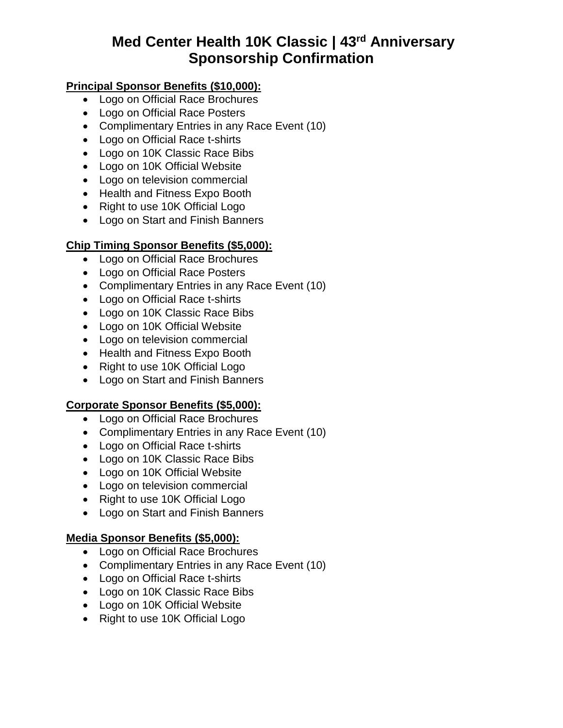### **Principal Sponsor Benefits (\$10,000):**

- Logo on Official Race Brochures
- Logo on Official Race Posters
- Complimentary Entries in any Race Event (10)
- Logo on Official Race t-shirts
- Logo on 10K Classic Race Bibs
- Logo on 10K Official Website
- Logo on television commercial
- Health and Fitness Expo Booth
- Right to use 10K Official Logo
- Logo on Start and Finish Banners

#### **Chip Timing Sponsor Benefits (\$5,000):**

- Logo on Official Race Brochures
- Logo on Official Race Posters
- Complimentary Entries in any Race Event (10)
- Logo on Official Race t-shirts
- Logo on 10K Classic Race Bibs
- Logo on 10K Official Website
- Logo on television commercial
- Health and Fitness Expo Booth
- Right to use 10K Official Logo
- Logo on Start and Finish Banners

#### **Corporate Sponsor Benefits (\$5,000):**

- Logo on Official Race Brochures
- Complimentary Entries in any Race Event (10)
- Logo on Official Race t-shirts
- Logo on 10K Classic Race Bibs
- Logo on 10K Official Website
- Logo on television commercial
- Right to use 10K Official Logo
- Logo on Start and Finish Banners

#### **Media Sponsor Benefits (\$5,000):**

- Logo on Official Race Brochures
- Complimentary Entries in any Race Event (10)
- Logo on Official Race t-shirts
- Logo on 10K Classic Race Bibs
- Logo on 10K Official Website
- Right to use 10K Official Logo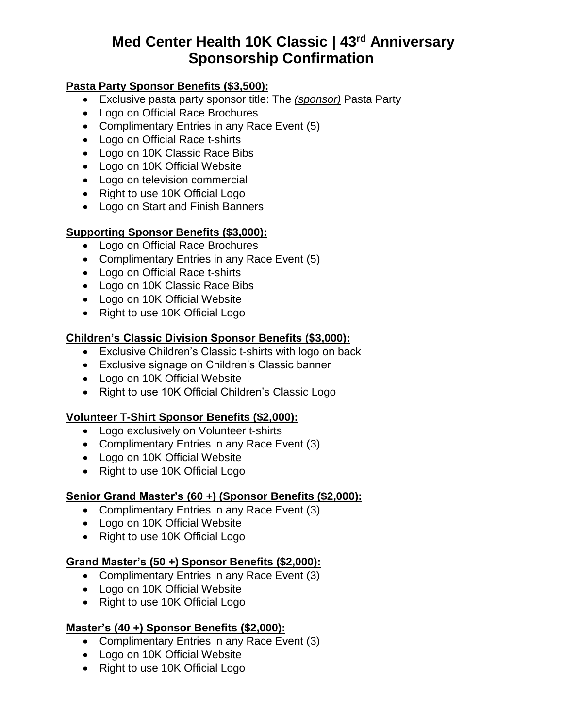### **Pasta Party Sponsor Benefits (\$3,500):**

- Exclusive pasta party sponsor title: The *(sponsor)* Pasta Party
- Logo on Official Race Brochures
- Complimentary Entries in any Race Event (5)
- Logo on Official Race t-shirts
- Logo on 10K Classic Race Bibs
- Logo on 10K Official Website
- Logo on television commercial
- Right to use 10K Official Logo
- Logo on Start and Finish Banners

#### **Supporting Sponsor Benefits (\$3,000):**

- Logo on Official Race Brochures
- Complimentary Entries in any Race Event (5)
- Logo on Official Race t-shirts
- Logo on 10K Classic Race Bibs
- Logo on 10K Official Website
- Right to use 10K Official Logo

#### **Children's Classic Division Sponsor Benefits (\$3,000):**

- Exclusive Children's Classic t-shirts with logo on back
- Exclusive signage on Children's Classic banner
- Logo on 10K Official Website
- Right to use 10K Official Children's Classic Logo

#### **Volunteer T-Shirt Sponsor Benefits (\$2,000):**

- Logo exclusively on Volunteer t-shirts
- Complimentary Entries in any Race Event (3)
- Logo on 10K Official Website
- Right to use 10K Official Logo

#### **Senior Grand Master's (60 +) (Sponsor Benefits (\$2,000):**

- Complimentary Entries in any Race Event (3)
- Logo on 10K Official Website
- Right to use 10K Official Logo

#### **Grand Master's (50 +) Sponsor Benefits (\$2,000):**

- Complimentary Entries in any Race Event (3)
- Logo on 10K Official Website
- Right to use 10K Official Logo

#### **Master's (40 +) Sponsor Benefits (\$2,000):**

- Complimentary Entries in any Race Event (3)
- Logo on 10K Official Website
- Right to use 10K Official Logo